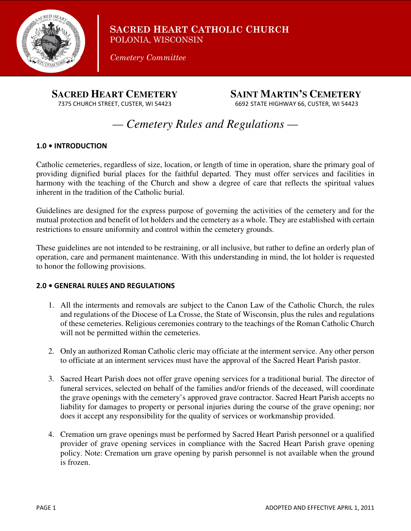

**SACRED HEART CATHOLIC CHURCH** POLONIA, WISCONSIN

*Cemetery Committee* 

 **SACRED HEART CEMETERY SAINT MARTIN'S CEMETERY**

7375 CHURCH STREET, CUSTER, WI 54423 6692 STATE HIGHWAY 66, CUSTER, WI 54423

# *— Cemetery Rules and Regulations —*

# **1.0 • INTRODUCTION**

Catholic cemeteries, regardless of size, location, or length of time in operation, share the primary goal of providing dignified burial places for the faithful departed. They must offer services and facilities in harmony with the teaching of the Church and show a degree of care that reflects the spiritual values inherent in the tradition of the Catholic burial.

Guidelines are designed for the express purpose of governing the activities of the cemetery and for the mutual protection and benefit of lot holders and the cemetery as a whole. They are established with certain restrictions to ensure uniformity and control within the cemetery grounds.

These guidelines are not intended to be restraining, or all inclusive, but rather to define an orderly plan of operation, care and permanent maintenance. With this understanding in mind, the lot holder is requested to honor the following provisions.

### **2.0 • GENERAL RULES AND REGULATIONS**

- 1. All the interments and removals are subject to the Canon Law of the Catholic Church, the rules and regulations of the Diocese of La Crosse, the State of Wisconsin, plus the rules and regulations of these cemeteries. Religious ceremonies contrary to the teachings of the Roman Catholic Church will not be permitted within the cemeteries.
- 2. Only an authorized Roman Catholic cleric may officiate at the interment service. Any other person to officiate at an interment services must have the approval of the Sacred Heart Parish pastor.
- 3. Sacred Heart Parish does not offer grave opening services for a traditional burial. The director of funeral services, selected on behalf of the families and/or friends of the deceased, will coordinate the grave openings with the cemetery's approved grave contractor. Sacred Heart Parish accepts no liability for damages to property or personal injuries during the course of the grave opening; nor does it accept any responsibility for the quality of services or workmanship provided.
- 4. Cremation urn grave openings must be performed by Sacred Heart Parish personnel or a qualified provider of grave opening services in compliance with the Sacred Heart Parish grave opening policy. Note: Cremation urn grave opening by parish personnel is not available when the ground is frozen.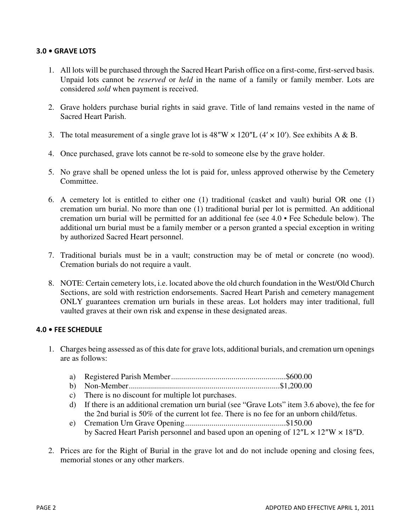# **3.0 • GRAVE LOTS**

- 1. All lots will be purchased through the Sacred Heart Parish office on a first-come, first-served basis. Unpaid lots cannot be *reserved* or *held* in the name of a family or family member. Lots are considered *sold* when payment is received.
- 2. Grave holders purchase burial rights in said grave. Title of land remains vested in the name of Sacred Heart Parish.
- 3. The total measurement of a single grave lot is  $48''W \times 120''L (4' \times 10')$ . See exhibits A & B.
- 4. Once purchased, grave lots cannot be re-sold to someone else by the grave holder.
- 5. No grave shall be opened unless the lot is paid for, unless approved otherwise by the Cemetery Committee.
- 6. A cemetery lot is entitled to either one (1) traditional (casket and vault) burial OR one (1) cremation urn burial. No more than one (1) traditional burial per lot is permitted. An additional cremation urn burial will be permitted for an additional fee (see 4.0 • Fee Schedule below). The additional urn burial must be a family member or a person granted a special exception in writing by authorized Sacred Heart personnel.
- 7. Traditional burials must be in a vault; construction may be of metal or concrete (no wood). Cremation burials do not require a vault.
- 8. NOTE: Certain cemetery lots, i.e. located above the old church foundation in the West/Old Church Sections, are sold with restriction endorsements. Sacred Heart Parish and cemetery management ONLY guarantees cremation urn burials in these areas. Lot holders may inter traditional, full vaulted graves at their own risk and expense in these designated areas.

### **4.0 • FEE SCHEDULE**

- 1. Charges being assessed as of this date for grave lots, additional burials, and cremation urn openings are as follows:
	- a) Registered Parish Member .........................................................\$600.00
	- b) Non-Member ...........................................................................\$1,200.00
	- c) There is no discount for multiple lot purchases.
	- d) If there is an additional cremation urn burial (see "Grave Lots" item 3.6 above), the fee for the 2nd burial is 50% of the current lot fee. There is no fee for an unborn child/fetus.
	- e) Cremation Urn Grave Opening ..................................................\$150.00 by Sacred Heart Parish personnel and based upon an opening of  $12''L \times 12''W \times 18''D$ .
- 2. Prices are for the Right of Burial in the grave lot and do not include opening and closing fees, memorial stones or any other markers.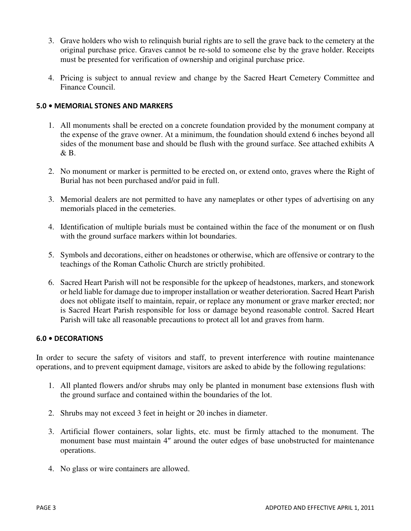- 3. Grave holders who wish to relinquish burial rights are to sell the grave back to the cemetery at the original purchase price. Graves cannot be re-sold to someone else by the grave holder. Receipts must be presented for verification of ownership and original purchase price.
- 4. Pricing is subject to annual review and change by the Sacred Heart Cemetery Committee and Finance Council.

## **5.0 • MEMORIAL STONES AND MARKERS**

- 1. All monuments shall be erected on a concrete foundation provided by the monument company at the expense of the grave owner. At a minimum, the foundation should extend 6 inches beyond all sides of the monument base and should be flush with the ground surface. See attached exhibits A  $\&$  R.
- 2. No monument or marker is permitted to be erected on, or extend onto, graves where the Right of Burial has not been purchased and/or paid in full.
- 3. Memorial dealers are not permitted to have any nameplates or other types of advertising on any memorials placed in the cemeteries.
- 4. Identification of multiple burials must be contained within the face of the monument or on flush with the ground surface markers within lot boundaries.
- 5. Symbols and decorations, either on headstones or otherwise, which are offensive or contrary to the teachings of the Roman Catholic Church are strictly prohibited.
- 6. Sacred Heart Parish will not be responsible for the upkeep of headstones, markers, and stonework or held liable for damage due to improper installation or weather deterioration. Sacred Heart Parish does not obligate itself to maintain, repair, or replace any monument or grave marker erected; nor is Sacred Heart Parish responsible for loss or damage beyond reasonable control. Sacred Heart Parish will take all reasonable precautions to protect all lot and graves from harm.

### **6.0 • DECORATIONS**

In order to secure the safety of visitors and staff, to prevent interference with routine maintenance operations, and to prevent equipment damage, visitors are asked to abide by the following regulations:

- 1. All planted flowers and/or shrubs may only be planted in monument base extensions flush with the ground surface and contained within the boundaries of the lot.
- 2. Shrubs may not exceed 3 feet in height or 20 inches in diameter.
- 3. Artificial flower containers, solar lights, etc. must be firmly attached to the monument. The monument base must maintain 4″ around the outer edges of base unobstructed for maintenance operations.
- 4. No glass or wire containers are allowed.